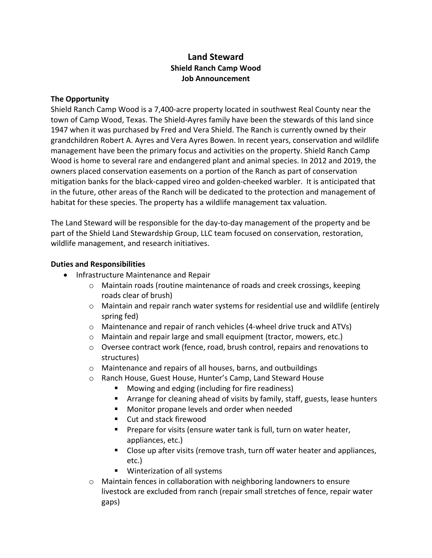# **Land Steward Shield Ranch Camp Wood Job Announcement**

### **The Opportunity**

Shield Ranch Camp Wood is a 7,400‐acre property located in southwest Real County near the town of Camp Wood, Texas. The Shield‐Ayres family have been the stewards of this land since 1947 when it was purchased by Fred and Vera Shield. The Ranch is currently owned by their grandchildren Robert A. Ayres and Vera Ayres Bowen. In recent years, conservation and wildlife management have been the primary focus and activities on the property. Shield Ranch Camp Wood is home to several rare and endangered plant and animal species. In 2012 and 2019, the owners placed conservation easements on a portion of the Ranch as part of conservation mitigation banks for the black‐capped vireo and golden‐cheeked warbler. It is anticipated that in the future, other areas of the Ranch will be dedicated to the protection and management of habitat for these species. The property has a wildlife management tax valuation.

The Land Steward will be responsible for the day‐to‐day management of the property and be part of the Shield Land Stewardship Group, LLC team focused on conservation, restoration, wildlife management, and research initiatives.

### **Duties and Responsibilities**

- Infrastructure Maintenance and Repair
	- o Maintain roads (routine maintenance of roads and creek crossings, keeping roads clear of brush)
	- o Maintain and repair ranch water systems for residential use and wildlife (entirely spring fed)
	- o Maintenance and repair of ranch vehicles (4‐wheel drive truck and ATVs)
	- o Maintain and repair large and small equipment (tractor, mowers, etc.)
	- o Oversee contract work (fence, road, brush control, repairs and renovations to structures)
	- o Maintenance and repairs of all houses, barns, and outbuildings
	- o Ranch House, Guest House, Hunter's Camp, Land Steward House
		- **Mowing and edging (including for fire readiness)**
		- **EXT** Arrange for cleaning ahead of visits by family, staff, guests, lease hunters
		- **Monitor propane levels and order when needed**
		- Cut and stack firewood
		- **Prepare for visits (ensure water tank is full, turn on water heater,** appliances, etc.)
		- Close up after visits (remove trash, turn off water heater and appliances, etc.)
		- **Winterization of all systems**
	- o Maintain fences in collaboration with neighboring landowners to ensure livestock are excluded from ranch (repair small stretches of fence, repair water gaps)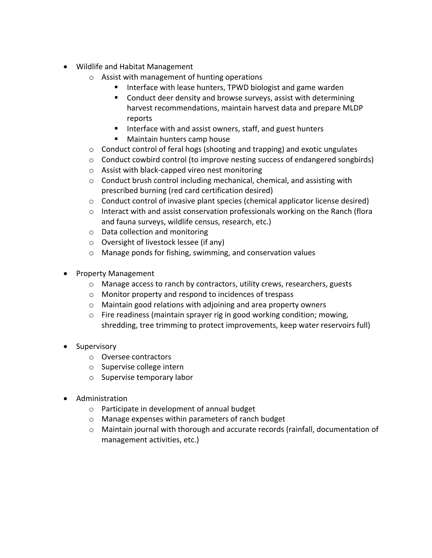- Wildlife and Habitat Management
	- o Assist with management of hunting operations
		- Interface with lease hunters, TPWD biologist and game warden
			- Conduct deer density and browse surveys, assist with determining harvest recommendations, maintain harvest data and prepare MLDP reports
			- Interface with and assist owners, staff, and guest hunters
		- **Maintain hunters camp house**
	- $\circ$  Conduct control of feral hogs (shooting and trapping) and exotic ungulates
	- $\circ$  Conduct cowbird control (to improve nesting success of endangered songbirds)
	- o Assist with black‐capped vireo nest monitoring
	- o Conduct brush control including mechanical, chemical, and assisting with prescribed burning (red card certification desired)
	- o Conduct control of invasive plant species (chemical applicator license desired)
	- o Interact with and assist conservation professionals working on the Ranch (flora and fauna surveys, wildlife census, research, etc.)
	- o Data collection and monitoring
	- o Oversight of livestock lessee (if any)
	- o Manage ponds for fishing, swimming, and conservation values
- Property Management
	- o Manage access to ranch by contractors, utility crews, researchers, guests
	- o Monitor property and respond to incidences of trespass
	- o Maintain good relations with adjoining and area property owners
	- o Fire readiness (maintain sprayer rig in good working condition; mowing, shredding, tree trimming to protect improvements, keep water reservoirs full)
- Supervisory
	- o Oversee contractors
	- o Supervise college intern
	- o Supervise temporary labor
- Administration
	- o Participate in development of annual budget
	- o Manage expenses within parameters of ranch budget
	- o Maintain journal with thorough and accurate records (rainfall, documentation of management activities, etc.)